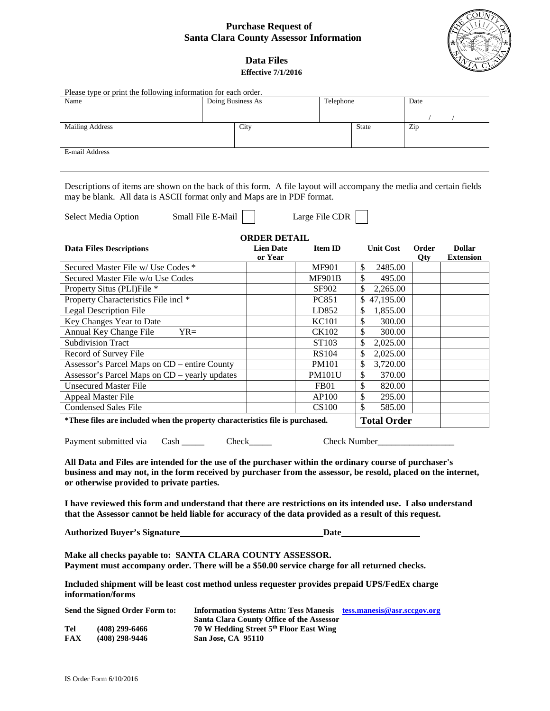## **Purchase Request of Santa Clara County Assessor Information**



 **Data Files Effective 7/1/2016** 

| Name                                                        |                                                                                                                     |                    | Please type or print the following information for each order. |                                                                    |                             |       |                  |
|-------------------------------------------------------------|---------------------------------------------------------------------------------------------------------------------|--------------------|----------------------------------------------------------------|--------------------------------------------------------------------|-----------------------------|-------|------------------|
|                                                             |                                                                                                                     | Doing Business As  |                                                                | Telephone                                                          |                             | Date  |                  |
|                                                             |                                                                                                                     |                    |                                                                |                                                                    |                             |       |                  |
|                                                             | <b>Mailing Address</b>                                                                                              |                    | City                                                           |                                                                    | State                       | Zip   |                  |
|                                                             |                                                                                                                     |                    |                                                                |                                                                    |                             |       |                  |
| E-mail Address                                              |                                                                                                                     |                    |                                                                |                                                                    |                             |       |                  |
|                                                             |                                                                                                                     |                    |                                                                |                                                                    |                             |       |                  |
|                                                             |                                                                                                                     |                    |                                                                |                                                                    |                             |       |                  |
|                                                             | Descriptions of items are shown on the back of this form. A file layout will accompany the media and certain fields |                    |                                                                |                                                                    |                             |       |                  |
|                                                             | may be blank. All data is ASCII format only and Maps are in PDF format.                                             |                    |                                                                |                                                                    |                             |       |                  |
|                                                             |                                                                                                                     |                    |                                                                |                                                                    |                             |       |                  |
|                                                             | <b>Select Media Option</b>                                                                                          | Small File E-Mail  |                                                                | Large File CDR                                                     |                             |       |                  |
|                                                             |                                                                                                                     |                    |                                                                |                                                                    |                             |       |                  |
|                                                             |                                                                                                                     |                    | <b>ORDER DETAIL</b>                                            |                                                                    |                             |       |                  |
|                                                             | <b>Data Files Descriptions</b>                                                                                      |                    | <b>Lien Date</b>                                               | <b>Item ID</b>                                                     | <b>Unit Cost</b>            | Order | <b>Dollar</b>    |
|                                                             |                                                                                                                     |                    | or Year                                                        |                                                                    |                             | Qty   | <b>Extension</b> |
|                                                             | Secured Master File w/ Use Codes *                                                                                  |                    |                                                                | <b>MF901</b>                                                       | \$<br>2485.00               |       |                  |
| Secured Master File w/o Use Codes                           |                                                                                                                     |                    |                                                                | <b>MF901B</b>                                                      | \$<br>495.00                |       |                  |
|                                                             | Property Situs (PLI)File *                                                                                          |                    |                                                                | SF902                                                              | $\overline{2,265.00}$<br>\$ |       |                  |
|                                                             | Property Characteristics File incl *                                                                                |                    |                                                                | PC851                                                              | \$47,195.00                 |       |                  |
|                                                             | <b>Legal Description File</b>                                                                                       |                    |                                                                | LD852                                                              | \$<br>1,855.00              |       |                  |
| Key Changes Year to Date<br>Annual Key Change File<br>$YR=$ |                                                                                                                     |                    |                                                                | <b>KC101</b><br><b>CK102</b>                                       | \$<br>300.00<br>\$          |       |                  |
|                                                             | <b>Subdivision Tract</b>                                                                                            |                    |                                                                |                                                                    | 300.00<br>\$                |       |                  |
|                                                             |                                                                                                                     |                    |                                                                | ST103<br><b>RS104</b>                                              | 2,025.00<br>\$              |       |                  |
|                                                             | Record of Survey File<br>Assessor's Parcel Maps on CD – entire County                                               |                    |                                                                | <b>PM101</b>                                                       | 2,025.00<br>\$<br>3,720.00  |       |                  |
|                                                             | Assessor's Parcel Maps on CD - yearly updates                                                                       |                    |                                                                | <b>PM101U</b>                                                      | \$<br>370.00                |       |                  |
|                                                             | <b>Unsecured Master File</b>                                                                                        |                    |                                                                | FB <sub>01</sub>                                                   | \$<br>820.00                |       |                  |
|                                                             | <b>Appeal Master File</b>                                                                                           |                    |                                                                | AP100                                                              | \$<br>295.00                |       |                  |
|                                                             | <b>Condensed Sales File</b>                                                                                         |                    |                                                                | <b>CS100</b>                                                       | \$<br>585.00                |       |                  |
|                                                             |                                                                                                                     |                    |                                                                |                                                                    |                             |       |                  |
|                                                             |                                                                                                                     |                    |                                                                |                                                                    | <b>Total Order</b>          |       |                  |
|                                                             | *These files are included when the property characteristics file is purchased.                                      |                    |                                                                |                                                                    |                             |       |                  |
|                                                             |                                                                                                                     |                    |                                                                |                                                                    |                             |       |                  |
|                                                             | Payment submitted via Cash _____                                                                                    |                    | Check                                                          | Check Number                                                       |                             |       |                  |
|                                                             | All Data and Files are intended for the use of the purchaser within the ordinary course of purchaser's              |                    |                                                                |                                                                    |                             |       |                  |
|                                                             | business and may not, in the form received by purchaser from the assessor, be resold, placed on the internet,       |                    |                                                                |                                                                    |                             |       |                  |
|                                                             | or otherwise provided to private parties.                                                                           |                    |                                                                |                                                                    |                             |       |                  |
|                                                             |                                                                                                                     |                    |                                                                |                                                                    |                             |       |                  |
|                                                             | I have reviewed this form and understand that there are restrictions on its intended use. I also understand         |                    |                                                                |                                                                    |                             |       |                  |
|                                                             | that the Assessor cannot be held liable for accuracy of the data provided as a result of this request.              |                    |                                                                |                                                                    |                             |       |                  |
|                                                             |                                                                                                                     |                    |                                                                |                                                                    |                             |       |                  |
|                                                             |                                                                                                                     |                    |                                                                |                                                                    |                             |       |                  |
|                                                             |                                                                                                                     |                    |                                                                |                                                                    |                             |       |                  |
|                                                             | Make all checks payable to: SANTA CLARA COUNTY ASSESSOR.                                                            |                    |                                                                |                                                                    |                             |       |                  |
|                                                             | Payment must accompany order. There will be a \$50.00 service charge for all returned checks.                       |                    |                                                                |                                                                    |                             |       |                  |
|                                                             | Included shipment will be least cost method unless requester provides prepaid UPS/FedEx charge                      |                    |                                                                |                                                                    |                             |       |                  |
|                                                             | information/forms                                                                                                   |                    |                                                                |                                                                    |                             |       |                  |
|                                                             |                                                                                                                     |                    |                                                                |                                                                    |                             |       |                  |
|                                                             | Send the Signed Order Form to:                                                                                      |                    | Santa Clara County Office of the Assessor                      | Information Systems Attn: Tess Manesis tess.manesis@asr.sccgov.org |                             |       |                  |
|                                                             | $(408)$ 299-6466                                                                                                    |                    | 70 W Hedding Street 5th Floor East Wing                        |                                                                    |                             |       |                  |
| Tel<br>FAX                                                  | $(408)$ 298-9446                                                                                                    | San Jose, CA 95110 |                                                                |                                                                    |                             |       |                  |
|                                                             |                                                                                                                     |                    |                                                                |                                                                    |                             |       |                  |